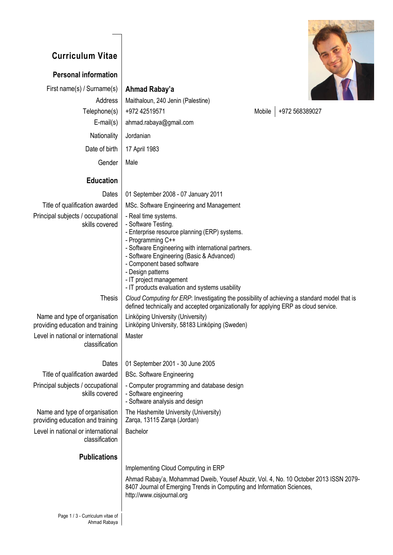## **Curriculum Vitae**

## **Personal information**

First name(s) / Surname(s) **Ahmad Rabay'a**

Address | Maithaloun, 240 Jenin (Palestine)



 $T_{\text{elaphanol}}$  + 0.072 42510571 Mobile +072 568380027

| Telephone(S)                                                      | $+97242519571$                                                                                                                                                                                                                                                                                                                                        | <b>INIODIIE</b><br>$+912,900309021$                                                                                                                                                  |
|-------------------------------------------------------------------|-------------------------------------------------------------------------------------------------------------------------------------------------------------------------------------------------------------------------------------------------------------------------------------------------------------------------------------------------------|--------------------------------------------------------------------------------------------------------------------------------------------------------------------------------------|
| $E$ -mail $(s)$                                                   | ahmad.rabaya@gmail.com                                                                                                                                                                                                                                                                                                                                |                                                                                                                                                                                      |
| Nationality                                                       | Jordanian                                                                                                                                                                                                                                                                                                                                             |                                                                                                                                                                                      |
| Date of birth                                                     | 17 April 1983                                                                                                                                                                                                                                                                                                                                         |                                                                                                                                                                                      |
| Gender                                                            | Male                                                                                                                                                                                                                                                                                                                                                  |                                                                                                                                                                                      |
|                                                                   |                                                                                                                                                                                                                                                                                                                                                       |                                                                                                                                                                                      |
| <b>Education</b>                                                  |                                                                                                                                                                                                                                                                                                                                                       |                                                                                                                                                                                      |
| Dates                                                             | 01 September 2008 - 07 January 2011                                                                                                                                                                                                                                                                                                                   |                                                                                                                                                                                      |
| Title of qualification awarded                                    | MSc. Software Engineering and Management                                                                                                                                                                                                                                                                                                              |                                                                                                                                                                                      |
| Principal subjects / occupational<br>skills covered               | - Real time systems.<br>- Software Testing.<br>- Enterprise resource planning (ERP) systems.<br>- Programming C++<br>- Software Engineering with international partners.<br>- Software Engineering (Basic & Advanced)<br>- Component based software<br>- Design patterns<br>- IT project management<br>- IT products evaluation and systems usability |                                                                                                                                                                                      |
| <b>Thesis</b>                                                     |                                                                                                                                                                                                                                                                                                                                                       | Cloud Computing for ERP: Investigating the possibility of achieving a standard model that is<br>defined technically and accepted organizationally for applying ERP as cloud service. |
| Name and type of organisation<br>providing education and training | Linköping University (University)<br>Linköping University, 58183 Linköping (Sweden)                                                                                                                                                                                                                                                                   |                                                                                                                                                                                      |
| Level in national or international<br>classification              | Master                                                                                                                                                                                                                                                                                                                                                |                                                                                                                                                                                      |
| Dates                                                             | 01 September 2001 - 30 June 2005                                                                                                                                                                                                                                                                                                                      |                                                                                                                                                                                      |
| Title of qualification awarded                                    | <b>BSc. Software Engineering</b>                                                                                                                                                                                                                                                                                                                      |                                                                                                                                                                                      |
| Principal subjects / occupational<br>skills covered               | - Computer programming and database design<br>- Software engineering<br>- Software analysis and design                                                                                                                                                                                                                                                |                                                                                                                                                                                      |
| Name and type of organisation<br>providing education and training | The Hashemite University (University)<br>Zarqa, 13115 Zarqa (Jordan)                                                                                                                                                                                                                                                                                  |                                                                                                                                                                                      |
| Level in national or international<br>classification              | Bachelor                                                                                                                                                                                                                                                                                                                                              |                                                                                                                                                                                      |
| <b>Publications</b>                                               |                                                                                                                                                                                                                                                                                                                                                       |                                                                                                                                                                                      |
|                                                                   | Implementing Cloud Computing in ERP                                                                                                                                                                                                                                                                                                                   |                                                                                                                                                                                      |
|                                                                   | 8407 Journal of Emerging Trends in Computing and Information Sciences,<br>http://www.cisjournal.org                                                                                                                                                                                                                                                   | Ahmad Rabay'a, Mohammad Dweib, Yousef Abuzir, Vol. 4, No. 10 October 2013 ISSN 2079-                                                                                                 |
|                                                                   |                                                                                                                                                                                                                                                                                                                                                       |                                                                                                                                                                                      |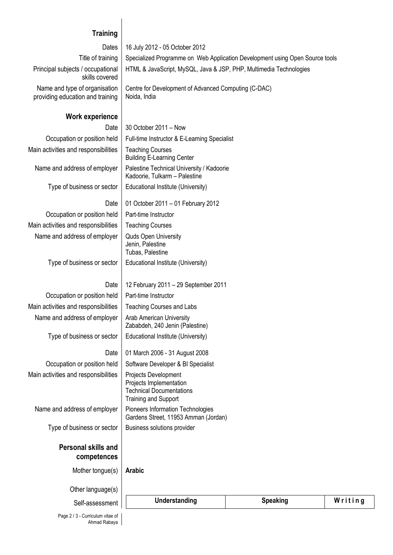## **Training**

| Title of training<br>Specialized Programme on Web Application Development using Open Source tools<br>Principal subjects / occupational<br>HTML & JavaScript, MySQL, Java & JSP, PHP, Multimedia Technologies<br>skills covered<br>Name and type of organisation<br>Centre for Development of Advanced Computing (C-DAC)<br>Noida, India<br>providing education and training<br>Work experience<br>Date<br>30 October 2011 - Now<br>Occupation or position held<br>Full-time Instructor & E-Learning Specialist<br>Main activities and responsibilities<br><b>Teaching Courses</b><br><b>Building E-Learning Center</b><br>Name and address of employer<br>Palestine Technical University / Kadoorie<br>Kadoorie, Tulkarm - Palestine<br>Type of business or sector<br>Educational Institute (University)<br>01 October 2011 - 01 February 2012<br>Date<br>Occupation or position held<br>Part-time Instructor<br>Main activities and responsibilities<br><b>Teaching Courses</b><br>Name and address of employer<br><b>Quds Open University</b><br>Jenin, Palestine<br>Tubas, Palestine<br>Type of business or sector<br>Educational Institute (University)<br>12 February 2011 - 29 September 2011<br>Date<br>Occupation or position held<br>Part-time Instructor<br>Main activities and responsibilities<br><b>Teaching Courses and Labs</b><br>Name and address of employer<br><b>Arab American University</b><br>Zababdeh, 240 Jenin (Palestine)<br>Type of business or sector<br>Educational Institute (University)<br>Date<br>01 March 2006 - 31 August 2008<br>Occupation or position held<br>Software Developer & BI Specialist<br>Main activities and responsibilities<br>Projects Development<br>Projects Implementation<br><b>Technical Documentations</b><br><b>Training and Support</b><br>Name and address of employer<br>Pioneers Information Technologies<br>Gardens Street, 11953 Amman (Jordan)<br>Type of business or sector<br>Business solutions provider<br><b>Personal skills and</b><br>competences<br>Mother tongue(s)<br><b>Arabic</b><br>Other language(s) | Dates           | 16 July 2012 - 05 October 2012 |                 |         |
|---------------------------------------------------------------------------------------------------------------------------------------------------------------------------------------------------------------------------------------------------------------------------------------------------------------------------------------------------------------------------------------------------------------------------------------------------------------------------------------------------------------------------------------------------------------------------------------------------------------------------------------------------------------------------------------------------------------------------------------------------------------------------------------------------------------------------------------------------------------------------------------------------------------------------------------------------------------------------------------------------------------------------------------------------------------------------------------------------------------------------------------------------------------------------------------------------------------------------------------------------------------------------------------------------------------------------------------------------------------------------------------------------------------------------------------------------------------------------------------------------------------------------------------------------------------------------------------------------------------------------------------------------------------------------------------------------------------------------------------------------------------------------------------------------------------------------------------------------------------------------------------------------------------------------------------------------------------------------------------------------------------------------------------------------------------------------------------|-----------------|--------------------------------|-----------------|---------|
|                                                                                                                                                                                                                                                                                                                                                                                                                                                                                                                                                                                                                                                                                                                                                                                                                                                                                                                                                                                                                                                                                                                                                                                                                                                                                                                                                                                                                                                                                                                                                                                                                                                                                                                                                                                                                                                                                                                                                                                                                                                                                       |                 |                                |                 |         |
|                                                                                                                                                                                                                                                                                                                                                                                                                                                                                                                                                                                                                                                                                                                                                                                                                                                                                                                                                                                                                                                                                                                                                                                                                                                                                                                                                                                                                                                                                                                                                                                                                                                                                                                                                                                                                                                                                                                                                                                                                                                                                       |                 |                                |                 |         |
|                                                                                                                                                                                                                                                                                                                                                                                                                                                                                                                                                                                                                                                                                                                                                                                                                                                                                                                                                                                                                                                                                                                                                                                                                                                                                                                                                                                                                                                                                                                                                                                                                                                                                                                                                                                                                                                                                                                                                                                                                                                                                       |                 |                                |                 |         |
|                                                                                                                                                                                                                                                                                                                                                                                                                                                                                                                                                                                                                                                                                                                                                                                                                                                                                                                                                                                                                                                                                                                                                                                                                                                                                                                                                                                                                                                                                                                                                                                                                                                                                                                                                                                                                                                                                                                                                                                                                                                                                       |                 |                                |                 |         |
|                                                                                                                                                                                                                                                                                                                                                                                                                                                                                                                                                                                                                                                                                                                                                                                                                                                                                                                                                                                                                                                                                                                                                                                                                                                                                                                                                                                                                                                                                                                                                                                                                                                                                                                                                                                                                                                                                                                                                                                                                                                                                       |                 |                                |                 |         |
|                                                                                                                                                                                                                                                                                                                                                                                                                                                                                                                                                                                                                                                                                                                                                                                                                                                                                                                                                                                                                                                                                                                                                                                                                                                                                                                                                                                                                                                                                                                                                                                                                                                                                                                                                                                                                                                                                                                                                                                                                                                                                       |                 |                                |                 |         |
|                                                                                                                                                                                                                                                                                                                                                                                                                                                                                                                                                                                                                                                                                                                                                                                                                                                                                                                                                                                                                                                                                                                                                                                                                                                                                                                                                                                                                                                                                                                                                                                                                                                                                                                                                                                                                                                                                                                                                                                                                                                                                       |                 |                                |                 |         |
|                                                                                                                                                                                                                                                                                                                                                                                                                                                                                                                                                                                                                                                                                                                                                                                                                                                                                                                                                                                                                                                                                                                                                                                                                                                                                                                                                                                                                                                                                                                                                                                                                                                                                                                                                                                                                                                                                                                                                                                                                                                                                       |                 |                                |                 |         |
|                                                                                                                                                                                                                                                                                                                                                                                                                                                                                                                                                                                                                                                                                                                                                                                                                                                                                                                                                                                                                                                                                                                                                                                                                                                                                                                                                                                                                                                                                                                                                                                                                                                                                                                                                                                                                                                                                                                                                                                                                                                                                       |                 |                                |                 |         |
|                                                                                                                                                                                                                                                                                                                                                                                                                                                                                                                                                                                                                                                                                                                                                                                                                                                                                                                                                                                                                                                                                                                                                                                                                                                                                                                                                                                                                                                                                                                                                                                                                                                                                                                                                                                                                                                                                                                                                                                                                                                                                       |                 |                                |                 |         |
|                                                                                                                                                                                                                                                                                                                                                                                                                                                                                                                                                                                                                                                                                                                                                                                                                                                                                                                                                                                                                                                                                                                                                                                                                                                                                                                                                                                                                                                                                                                                                                                                                                                                                                                                                                                                                                                                                                                                                                                                                                                                                       |                 |                                |                 |         |
|                                                                                                                                                                                                                                                                                                                                                                                                                                                                                                                                                                                                                                                                                                                                                                                                                                                                                                                                                                                                                                                                                                                                                                                                                                                                                                                                                                                                                                                                                                                                                                                                                                                                                                                                                                                                                                                                                                                                                                                                                                                                                       |                 |                                |                 |         |
|                                                                                                                                                                                                                                                                                                                                                                                                                                                                                                                                                                                                                                                                                                                                                                                                                                                                                                                                                                                                                                                                                                                                                                                                                                                                                                                                                                                                                                                                                                                                                                                                                                                                                                                                                                                                                                                                                                                                                                                                                                                                                       |                 |                                |                 |         |
|                                                                                                                                                                                                                                                                                                                                                                                                                                                                                                                                                                                                                                                                                                                                                                                                                                                                                                                                                                                                                                                                                                                                                                                                                                                                                                                                                                                                                                                                                                                                                                                                                                                                                                                                                                                                                                                                                                                                                                                                                                                                                       |                 |                                |                 |         |
|                                                                                                                                                                                                                                                                                                                                                                                                                                                                                                                                                                                                                                                                                                                                                                                                                                                                                                                                                                                                                                                                                                                                                                                                                                                                                                                                                                                                                                                                                                                                                                                                                                                                                                                                                                                                                                                                                                                                                                                                                                                                                       |                 |                                |                 |         |
|                                                                                                                                                                                                                                                                                                                                                                                                                                                                                                                                                                                                                                                                                                                                                                                                                                                                                                                                                                                                                                                                                                                                                                                                                                                                                                                                                                                                                                                                                                                                                                                                                                                                                                                                                                                                                                                                                                                                                                                                                                                                                       |                 |                                |                 |         |
|                                                                                                                                                                                                                                                                                                                                                                                                                                                                                                                                                                                                                                                                                                                                                                                                                                                                                                                                                                                                                                                                                                                                                                                                                                                                                                                                                                                                                                                                                                                                                                                                                                                                                                                                                                                                                                                                                                                                                                                                                                                                                       |                 |                                |                 |         |
|                                                                                                                                                                                                                                                                                                                                                                                                                                                                                                                                                                                                                                                                                                                                                                                                                                                                                                                                                                                                                                                                                                                                                                                                                                                                                                                                                                                                                                                                                                                                                                                                                                                                                                                                                                                                                                                                                                                                                                                                                                                                                       |                 |                                |                 |         |
|                                                                                                                                                                                                                                                                                                                                                                                                                                                                                                                                                                                                                                                                                                                                                                                                                                                                                                                                                                                                                                                                                                                                                                                                                                                                                                                                                                                                                                                                                                                                                                                                                                                                                                                                                                                                                                                                                                                                                                                                                                                                                       |                 |                                |                 |         |
|                                                                                                                                                                                                                                                                                                                                                                                                                                                                                                                                                                                                                                                                                                                                                                                                                                                                                                                                                                                                                                                                                                                                                                                                                                                                                                                                                                                                                                                                                                                                                                                                                                                                                                                                                                                                                                                                                                                                                                                                                                                                                       |                 |                                |                 |         |
|                                                                                                                                                                                                                                                                                                                                                                                                                                                                                                                                                                                                                                                                                                                                                                                                                                                                                                                                                                                                                                                                                                                                                                                                                                                                                                                                                                                                                                                                                                                                                                                                                                                                                                                                                                                                                                                                                                                                                                                                                                                                                       |                 |                                |                 |         |
|                                                                                                                                                                                                                                                                                                                                                                                                                                                                                                                                                                                                                                                                                                                                                                                                                                                                                                                                                                                                                                                                                                                                                                                                                                                                                                                                                                                                                                                                                                                                                                                                                                                                                                                                                                                                                                                                                                                                                                                                                                                                                       |                 |                                |                 |         |
|                                                                                                                                                                                                                                                                                                                                                                                                                                                                                                                                                                                                                                                                                                                                                                                                                                                                                                                                                                                                                                                                                                                                                                                                                                                                                                                                                                                                                                                                                                                                                                                                                                                                                                                                                                                                                                                                                                                                                                                                                                                                                       |                 |                                |                 |         |
|                                                                                                                                                                                                                                                                                                                                                                                                                                                                                                                                                                                                                                                                                                                                                                                                                                                                                                                                                                                                                                                                                                                                                                                                                                                                                                                                                                                                                                                                                                                                                                                                                                                                                                                                                                                                                                                                                                                                                                                                                                                                                       |                 |                                |                 |         |
|                                                                                                                                                                                                                                                                                                                                                                                                                                                                                                                                                                                                                                                                                                                                                                                                                                                                                                                                                                                                                                                                                                                                                                                                                                                                                                                                                                                                                                                                                                                                                                                                                                                                                                                                                                                                                                                                                                                                                                                                                                                                                       |                 |                                |                 |         |
|                                                                                                                                                                                                                                                                                                                                                                                                                                                                                                                                                                                                                                                                                                                                                                                                                                                                                                                                                                                                                                                                                                                                                                                                                                                                                                                                                                                                                                                                                                                                                                                                                                                                                                                                                                                                                                                                                                                                                                                                                                                                                       |                 |                                |                 |         |
|                                                                                                                                                                                                                                                                                                                                                                                                                                                                                                                                                                                                                                                                                                                                                                                                                                                                                                                                                                                                                                                                                                                                                                                                                                                                                                                                                                                                                                                                                                                                                                                                                                                                                                                                                                                                                                                                                                                                                                                                                                                                                       |                 |                                |                 |         |
|                                                                                                                                                                                                                                                                                                                                                                                                                                                                                                                                                                                                                                                                                                                                                                                                                                                                                                                                                                                                                                                                                                                                                                                                                                                                                                                                                                                                                                                                                                                                                                                                                                                                                                                                                                                                                                                                                                                                                                                                                                                                                       | Self-assessment | Understanding                  | <b>Speaking</b> | Writing |

Page 2 / 3 - Curriculum vitae of Ahmad Rabaya